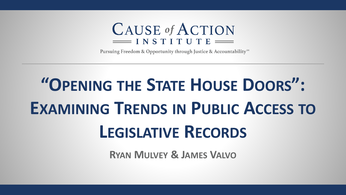

Pursuing Freedom & Opportunity through Justice & Accountability<sup>™</sup>

# **"OPENING THE STATE HOUSE DOORS": EXAMINING TRENDS IN PUBLIC ACCESS TO LEGISLATIVE RECORDS**

**RYAN MULVEY & JAMES VALVO**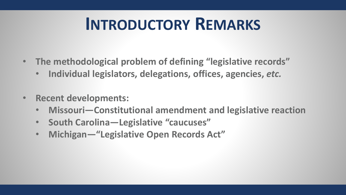# **INTRODUCTORY REMARKS**

- **The methodological problem of defining "legislative records"**
	- **Individual legislators, delegations, offices, agencies,** *etc.*
- **Recent developments:**
	- **Missouri—Constitutional amendment and legislative reaction**
	- **South Carolina—Legislative "caucuses"**
	- **Michigan—"Legislative Open Records Act"**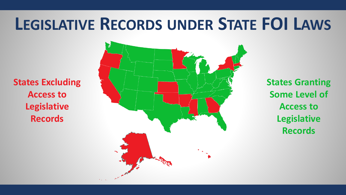## **LEGISLATIVE RECORDS UNDER STATE FOI LAWS**

**States Excluding Access to Legislative Records**



**States Granting Some Level of Access to Legislative Records**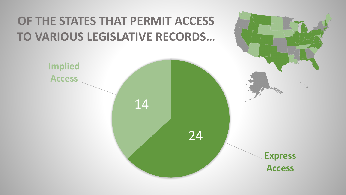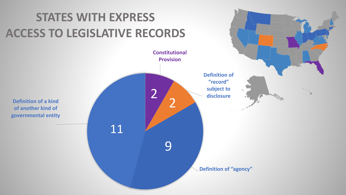#### **STATES WITH EXPRESS ACCESS TO LEGISLATIVE RECORDS**

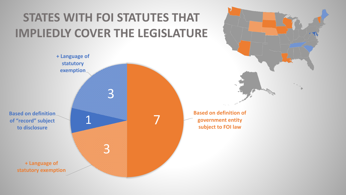#### **STATES WITH FOI STATUTES THAT IMPLIEDLY COVER THE LEGISLATURE**

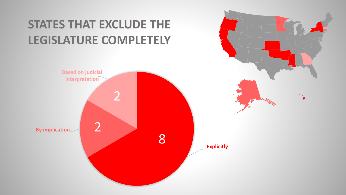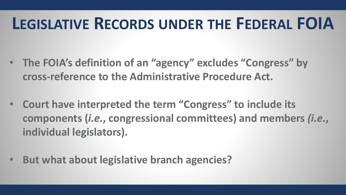### **LEGISLATIVE RECORDS UNDER THE FEDERAL FOIA**

- **The FOIA's definition of an "agency" excludes "Congress" by cross-reference to the Administrative Procedure Act.**
- **Court have interpreted the term "Congress" to include its components (***i.e.***, congressional committees) and members** *(i.e***., individual legislators).**
- **But what about legislative branch agencies?**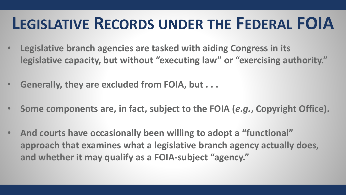### **LEGISLATIVE RECORDS UNDER THE FEDERAL FOIA**

- **Legislative branch agencies are tasked with aiding Congress in its legislative capacity, but without "executing law" or "exercising authority."**
- **Generally, they are excluded from FOIA, but . . .**
- **Some components are, in fact, subject to the FOIA (***e.g.***, Copyright Office).**
- **And courts have occasionally been willing to adopt a "functional" approach that examines what a legislative branch agency actually does, and whether it may qualify as a FOIA-subject "agency."**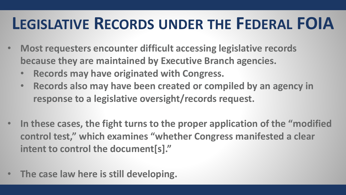### **LEGISLATIVE RECORDS UNDER THE FEDERAL FOIA**

- **Most requesters encounter difficult accessing legislative records because they are maintained by Executive Branch agencies.**
	- **Records may have originated with Congress.**
	- **Records also may have been created or compiled by an agency in response to a legislative oversight/records request.**
- **In these cases, the fight turns to the proper application of the "modified control test," which examines "whether Congress manifested a clear intent to control the document[s]."**
- **The case law here is still developing.**